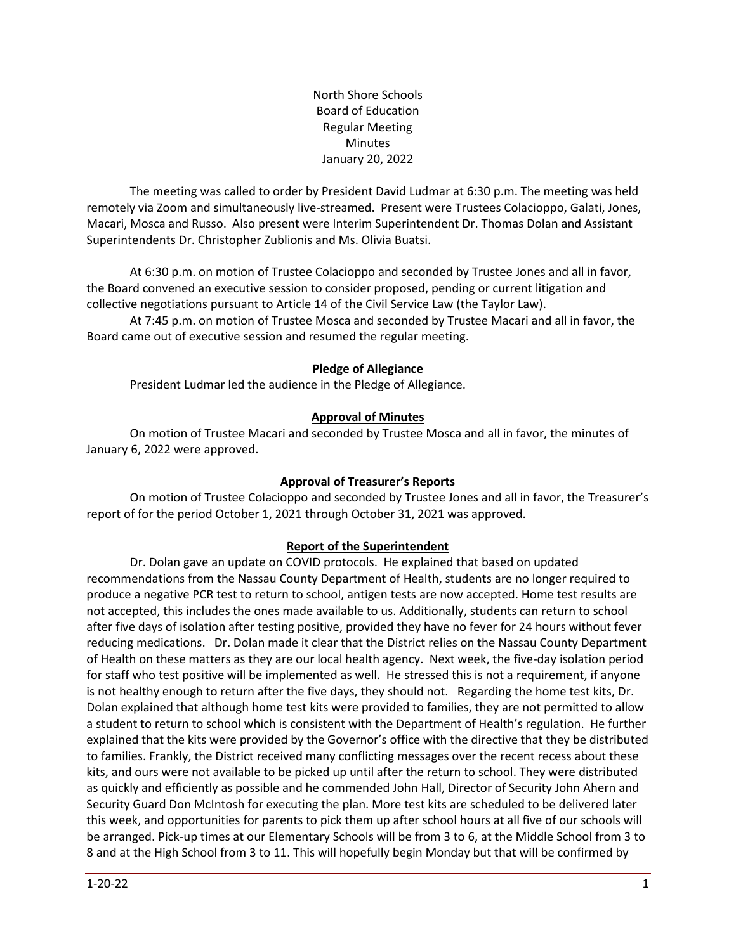North Shore Schools Board of Education Regular Meeting Minutes January 20, 2022

The meeting was called to order by President David Ludmar at 6:30 p.m. The meeting was held remotely via Zoom and simultaneously live-streamed. Present were Trustees Colacioppo, Galati, Jones, Macari, Mosca and Russo. Also present were Interim Superintendent Dr. Thomas Dolan and Assistant Superintendents Dr. Christopher Zublionis and Ms. Olivia Buatsi.

At 6:30 p.m. on motion of Trustee Colacioppo and seconded by Trustee Jones and all in favor, the Board convened an executive session to consider proposed, pending or current litigation and collective negotiations pursuant to Article 14 of the Civil Service Law (the Taylor Law).

At 7:45 p.m. on motion of Trustee Mosca and seconded by Trustee Macari and all in favor, the Board came out of executive session and resumed the regular meeting.

### **Pledge of Allegiance**

President Ludmar led the audience in the Pledge of Allegiance.

### **Approval of Minutes**

On motion of Trustee Macari and seconded by Trustee Mosca and all in favor, the minutes of January 6, 2022 were approved.

### **Approval of Treasurer's Reports**

On motion of Trustee Colacioppo and seconded by Trustee Jones and all in favor, the Treasurer's report of for the period October 1, 2021 through October 31, 2021 was approved.

### **Report of the Superintendent**

Dr. Dolan gave an update on COVID protocols. He explained that based on updated recommendations from the Nassau County Department of Health, students are no longer required to produce a negative PCR test to return to school, antigen tests are now accepted. Home test results are not accepted, this includes the ones made available to us. Additionally, students can return to school after five days of isolation after testing positive, provided they have no fever for 24 hours without fever reducing medications. Dr. Dolan made it clear that the District relies on the Nassau County Department of Health on these matters as they are our local health agency. Next week, the five-day isolation period for staff who test positive will be implemented as well. He stressed this is not a requirement, if anyone is not healthy enough to return after the five days, they should not. Regarding the home test kits, Dr. Dolan explained that although home test kits were provided to families, they are not permitted to allow a student to return to school which is consistent with the Department of Health's regulation. He further explained that the kits were provided by the Governor's office with the directive that they be distributed to families. Frankly, the District received many conflicting messages over the recent recess about these kits, and ours were not available to be picked up until after the return to school. They were distributed as quickly and efficiently as possible and he commended John Hall, Director of Security John Ahern and Security Guard Don McIntosh for executing the plan. More test kits are scheduled to be delivered later this week, and opportunities for parents to pick them up after school hours at all five of our schools will be arranged. Pick-up times at our Elementary Schools will be from 3 to 6, at the Middle School from 3 to 8 and at the High School from 3 to 11. This will hopefully begin Monday but that will be confirmed by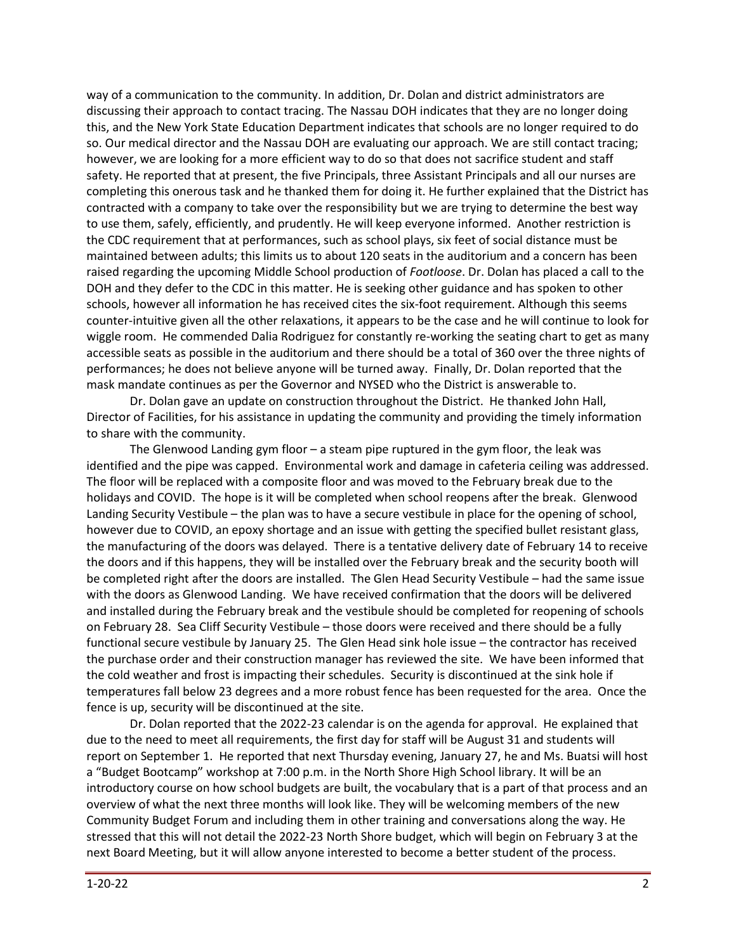way of a communication to the community. In addition, Dr. Dolan and district administrators are discussing their approach to contact tracing. The Nassau DOH indicates that they are no longer doing this, and the New York State Education Department indicates that schools are no longer required to do so. Our medical director and the Nassau DOH are evaluating our approach. We are still contact tracing; however, we are looking for a more efficient way to do so that does not sacrifice student and staff safety. He reported that at present, the five Principals, three Assistant Principals and all our nurses are completing this onerous task and he thanked them for doing it. He further explained that the District has contracted with a company to take over the responsibility but we are trying to determine the best way to use them, safely, efficiently, and prudently. He will keep everyone informed. Another restriction is the CDC requirement that at performances, such as school plays, six feet of social distance must be maintained between adults; this limits us to about 120 seats in the auditorium and a concern has been raised regarding the upcoming Middle School production of *Footloose*. Dr. Dolan has placed a call to the DOH and they defer to the CDC in this matter. He is seeking other guidance and has spoken to other schools, however all information he has received cites the six-foot requirement. Although this seems counter-intuitive given all the other relaxations, it appears to be the case and he will continue to look for wiggle room. He commended Dalia Rodriguez for constantly re-working the seating chart to get as many accessible seats as possible in the auditorium and there should be a total of 360 over the three nights of performances; he does not believe anyone will be turned away. Finally, Dr. Dolan reported that the mask mandate continues as per the Governor and NYSED who the District is answerable to.

Dr. Dolan gave an update on construction throughout the District. He thanked John Hall, Director of Facilities, for his assistance in updating the community and providing the timely information to share with the community.

The Glenwood Landing gym floor – a steam pipe ruptured in the gym floor, the leak was identified and the pipe was capped. Environmental work and damage in cafeteria ceiling was addressed. The floor will be replaced with a composite floor and was moved to the February break due to the holidays and COVID. The hope is it will be completed when school reopens after the break. Glenwood Landing Security Vestibule – the plan was to have a secure vestibule in place for the opening of school, however due to COVID, an epoxy shortage and an issue with getting the specified bullet resistant glass, the manufacturing of the doors was delayed. There is a tentative delivery date of February 14 to receive the doors and if this happens, they will be installed over the February break and the security booth will be completed right after the doors are installed. The Glen Head Security Vestibule – had the same issue with the doors as Glenwood Landing. We have received confirmation that the doors will be delivered and installed during the February break and the vestibule should be completed for reopening of schools on February 28. Sea Cliff Security Vestibule – those doors were received and there should be a fully functional secure vestibule by January 25. The Glen Head sink hole issue – the contractor has received the purchase order and their construction manager has reviewed the site. We have been informed that the cold weather and frost is impacting their schedules. Security is discontinued at the sink hole if temperatures fall below 23 degrees and a more robust fence has been requested for the area. Once the fence is up, security will be discontinued at the site.

Dr. Dolan reported that the 2022-23 calendar is on the agenda for approval. He explained that due to the need to meet all requirements, the first day for staff will be August 31 and students will report on September 1. He reported that next Thursday evening, January 27, he and Ms. Buatsi will host a "Budget Bootcamp" workshop at 7:00 p.m. in the North Shore High School library. It will be an introductory course on how school budgets are built, the vocabulary that is a part of that process and an overview of what the next three months will look like. They will be welcoming members of the new Community Budget Forum and including them in other training and conversations along the way. He stressed that this will not detail the 2022-23 North Shore budget, which will begin on February 3 at the next Board Meeting, but it will allow anyone interested to become a better student of the process.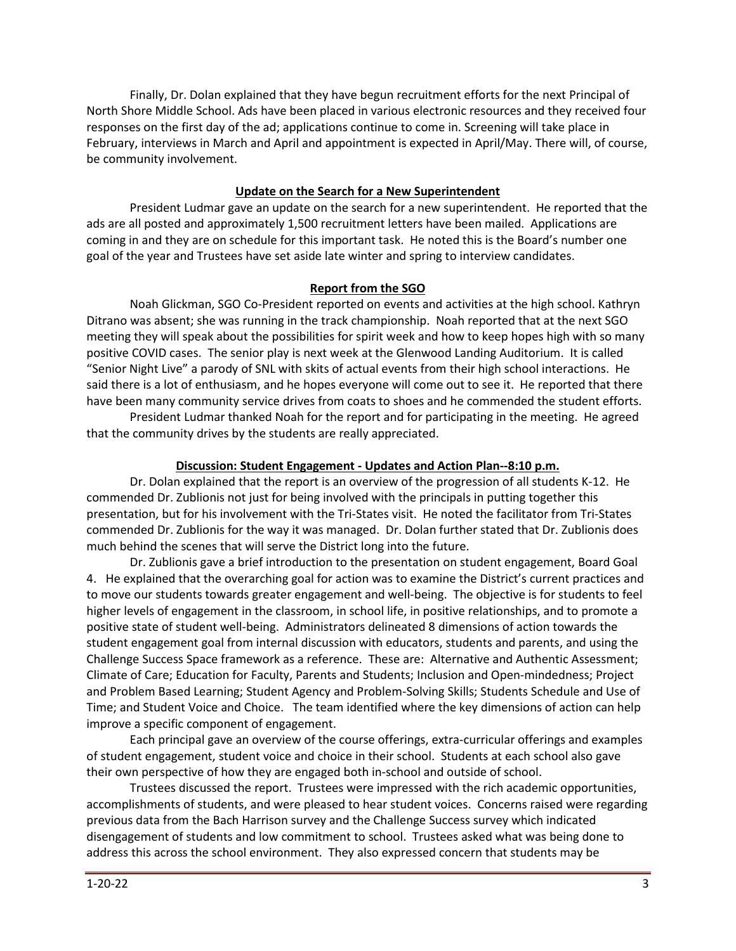Finally, Dr. Dolan explained that they have begun recruitment efforts for the next Principal of North Shore Middle School. Ads have been placed in various electronic resources and they received four responses on the first day of the ad; applications continue to come in. Screening will take place in February, interviews in March and April and appointment is expected in April/May. There will, of course, be community involvement.

# **Update on the Search for a New Superintendent**

President Ludmar gave an update on the search for a new superintendent. He reported that the ads are all posted and approximately 1,500 recruitment letters have been mailed. Applications are coming in and they are on schedule for this important task. He noted this is the Board's number one goal of the year and Trustees have set aside late winter and spring to interview candidates.

### **Report from the SGO**

Noah Glickman, SGO Co-President reported on events and activities at the high school. Kathryn Ditrano was absent; she was running in the track championship. Noah reported that at the next SGO meeting they will speak about the possibilities for spirit week and how to keep hopes high with so many positive COVID cases. The senior play is next week at the Glenwood Landing Auditorium. It is called "Senior Night Live" a parody of SNL with skits of actual events from their high school interactions. He said there is a lot of enthusiasm, and he hopes everyone will come out to see it. He reported that there have been many community service drives from coats to shoes and he commended the student efforts.

President Ludmar thanked Noah for the report and for participating in the meeting. He agreed that the community drives by the students are really appreciated.

### **Discussion: Student Engagement - Updates and Action Plan--8:10 p.m.**

Dr. Dolan explained that the report is an overview of the progression of all students K-12. He commended Dr. Zublionis not just for being involved with the principals in putting together this presentation, but for his involvement with the Tri-States visit. He noted the facilitator from Tri-States commended Dr. Zublionis for the way it was managed. Dr. Dolan further stated that Dr. Zublionis does much behind the scenes that will serve the District long into the future.

Dr. Zublionis gave a brief introduction to the presentation on student engagement, Board Goal 4. He explained that the overarching goal for action was to examine the District's current practices and to move our students towards greater engagement and well-being. The objective is for students to feel higher levels of engagement in the classroom, in school life, in positive relationships, and to promote a positive state of student well-being. Administrators delineated 8 dimensions of action towards the student engagement goal from internal discussion with educators, students and parents, and using the Challenge Success Space framework as a reference. These are: Alternative and Authentic Assessment; Climate of Care; Education for Faculty, Parents and Students; Inclusion and Open-mindedness; Project and Problem Based Learning; Student Agency and Problem-Solving Skills; Students Schedule and Use of Time; and Student Voice and Choice. The team identified where the key dimensions of action can help improve a specific component of engagement.

Each principal gave an overview of the course offerings, extra-curricular offerings and examples of student engagement, student voice and choice in their school. Students at each school also gave their own perspective of how they are engaged both in-school and outside of school.

Trustees discussed the report. Trustees were impressed with the rich academic opportunities, accomplishments of students, and were pleased to hear student voices. Concerns raised were regarding previous data from the Bach Harrison survey and the Challenge Success survey which indicated disengagement of students and low commitment to school. Trustees asked what was being done to address this across the school environment. They also expressed concern that students may be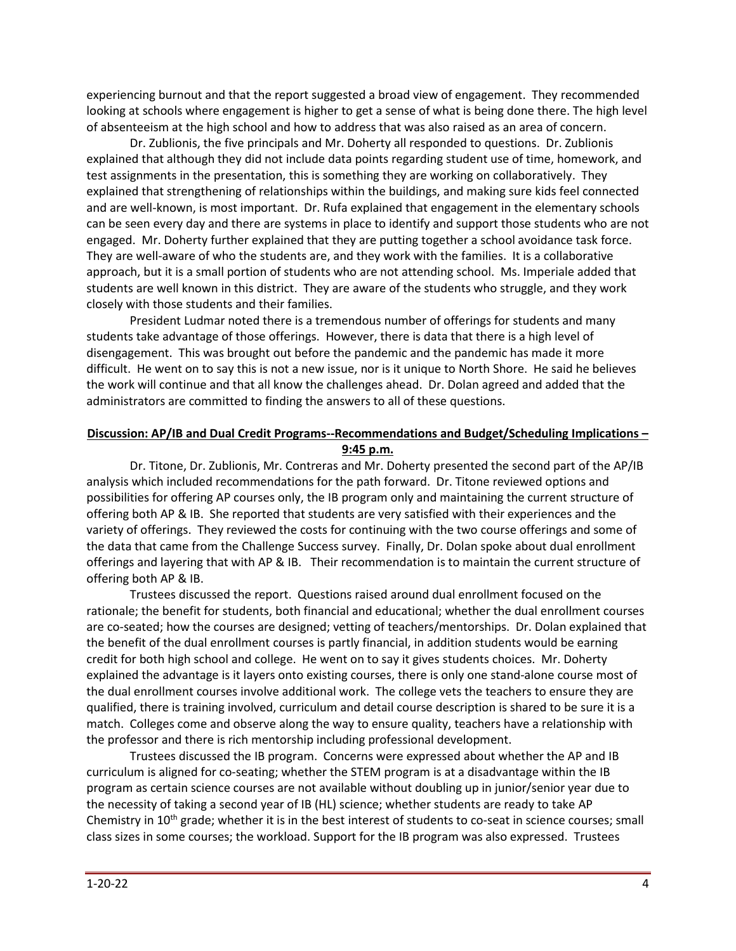experiencing burnout and that the report suggested a broad view of engagement. They recommended looking at schools where engagement is higher to get a sense of what is being done there. The high level of absenteeism at the high school and how to address that was also raised as an area of concern.

Dr. Zublionis, the five principals and Mr. Doherty all responded to questions. Dr. Zublionis explained that although they did not include data points regarding student use of time, homework, and test assignments in the presentation, this is something they are working on collaboratively. They explained that strengthening of relationships within the buildings, and making sure kids feel connected and are well-known, is most important. Dr. Rufa explained that engagement in the elementary schools can be seen every day and there are systems in place to identify and support those students who are not engaged. Mr. Doherty further explained that they are putting together a school avoidance task force. They are well-aware of who the students are, and they work with the families. It is a collaborative approach, but it is a small portion of students who are not attending school. Ms. Imperiale added that students are well known in this district. They are aware of the students who struggle, and they work closely with those students and their families.

President Ludmar noted there is a tremendous number of offerings for students and many students take advantage of those offerings. However, there is data that there is a high level of disengagement. This was brought out before the pandemic and the pandemic has made it more difficult. He went on to say this is not a new issue, nor is it unique to North Shore. He said he believes the work will continue and that all know the challenges ahead. Dr. Dolan agreed and added that the administrators are committed to finding the answers to all of these questions.

### **Discussion: AP/IB and Dual Credit Programs--Recommendations and Budget/Scheduling Implications – 9:45 p.m.**

Dr. Titone, Dr. Zublionis, Mr. Contreras and Mr. Doherty presented the second part of the AP/IB analysis which included recommendations for the path forward. Dr. Titone reviewed options and possibilities for offering AP courses only, the IB program only and maintaining the current structure of offering both AP & IB. She reported that students are very satisfied with their experiences and the variety of offerings. They reviewed the costs for continuing with the two course offerings and some of the data that came from the Challenge Success survey. Finally, Dr. Dolan spoke about dual enrollment offerings and layering that with AP & IB. Their recommendation is to maintain the current structure of offering both AP & IB.

Trustees discussed the report. Questions raised around dual enrollment focused on the rationale; the benefit for students, both financial and educational; whether the dual enrollment courses are co-seated; how the courses are designed; vetting of teachers/mentorships. Dr. Dolan explained that the benefit of the dual enrollment courses is partly financial, in addition students would be earning credit for both high school and college. He went on to say it gives students choices. Mr. Doherty explained the advantage is it layers onto existing courses, there is only one stand-alone course most of the dual enrollment courses involve additional work. The college vets the teachers to ensure they are qualified, there is training involved, curriculum and detail course description is shared to be sure it is a match. Colleges come and observe along the way to ensure quality, teachers have a relationship with the professor and there is rich mentorship including professional development.

Trustees discussed the IB program. Concerns were expressed about whether the AP and IB curriculum is aligned for co-seating; whether the STEM program is at a disadvantage within the IB program as certain science courses are not available without doubling up in junior/senior year due to the necessity of taking a second year of IB (HL) science; whether students are ready to take AP Chemistry in 10th grade; whether it is in the best interest of students to co-seat in science courses; small class sizes in some courses; the workload. Support for the IB program was also expressed. Trustees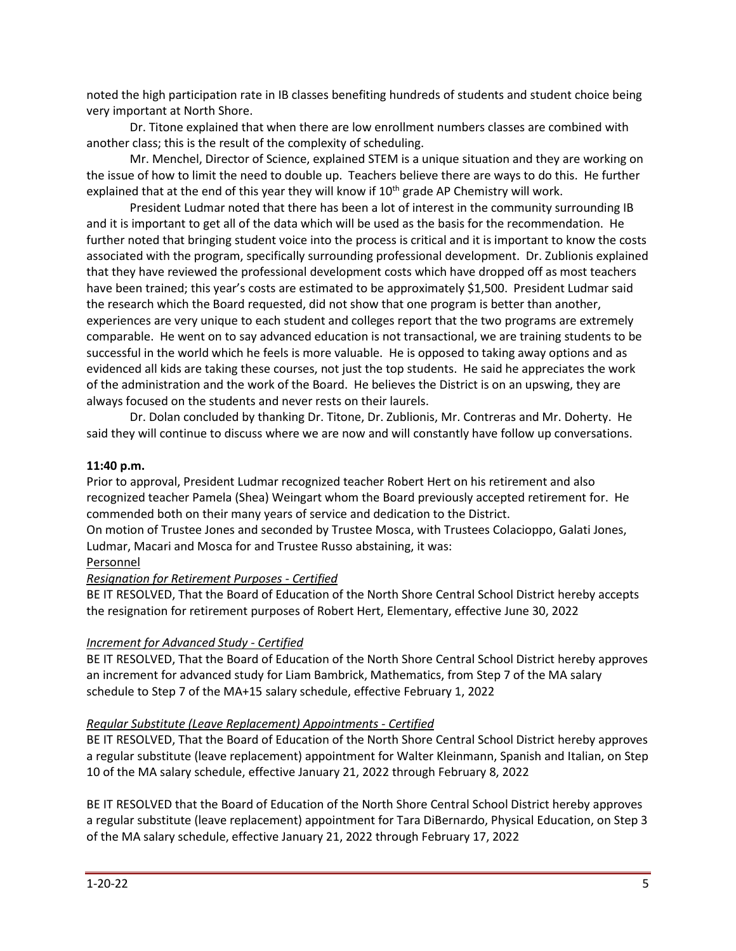noted the high participation rate in IB classes benefiting hundreds of students and student choice being very important at North Shore.

Dr. Titone explained that when there are low enrollment numbers classes are combined with another class; this is the result of the complexity of scheduling.

Mr. Menchel, Director of Science, explained STEM is a unique situation and they are working on the issue of how to limit the need to double up. Teachers believe there are ways to do this. He further explained that at the end of this year they will know if 10<sup>th</sup> grade AP Chemistry will work.

President Ludmar noted that there has been a lot of interest in the community surrounding IB and it is important to get all of the data which will be used as the basis for the recommendation. He further noted that bringing student voice into the process is critical and it is important to know the costs associated with the program, specifically surrounding professional development. Dr. Zublionis explained that they have reviewed the professional development costs which have dropped off as most teachers have been trained; this year's costs are estimated to be approximately \$1,500. President Ludmar said the research which the Board requested, did not show that one program is better than another, experiences are very unique to each student and colleges report that the two programs are extremely comparable. He went on to say advanced education is not transactional, we are training students to be successful in the world which he feels is more valuable. He is opposed to taking away options and as evidenced all kids are taking these courses, not just the top students. He said he appreciates the work of the administration and the work of the Board. He believes the District is on an upswing, they are always focused on the students and never rests on their laurels.

Dr. Dolan concluded by thanking Dr. Titone, Dr. Zublionis, Mr. Contreras and Mr. Doherty. He said they will continue to discuss where we are now and will constantly have follow up conversations.

### **11:40 p.m.**

Prior to approval, President Ludmar recognized teacher Robert Hert on his retirement and also recognized teacher Pamela (Shea) Weingart whom the Board previously accepted retirement for. He commended both on their many years of service and dedication to the District.

On motion of Trustee Jones and seconded by Trustee Mosca, with Trustees Colacioppo, Galati Jones, Ludmar, Macari and Mosca for and Trustee Russo abstaining, it was:

### Personnel

# *Resignation for Retirement Purposes - Certified*

BE IT RESOLVED, That the Board of Education of the North Shore Central School District hereby accepts the resignation for retirement purposes of Robert Hert, Elementary, effective June 30, 2022

# *Increment for Advanced Study - Certified*

BE IT RESOLVED, That the Board of Education of the North Shore Central School District hereby approves an increment for advanced study for Liam Bambrick, Mathematics, from Step 7 of the MA salary schedule to Step 7 of the MA+15 salary schedule, effective February 1, 2022

# *Regular Substitute (Leave Replacement) Appointments - Certified*

BE IT RESOLVED, That the Board of Education of the North Shore Central School District hereby approves a regular substitute (leave replacement) appointment for Walter Kleinmann, Spanish and Italian, on Step 10 of the MA salary schedule, effective January 21, 2022 through February 8, 2022

BE IT RESOLVED that the Board of Education of the North Shore Central School District hereby approves a regular substitute (leave replacement) appointment for Tara DiBernardo, Physical Education, on Step 3 of the MA salary schedule, effective January 21, 2022 through February 17, 2022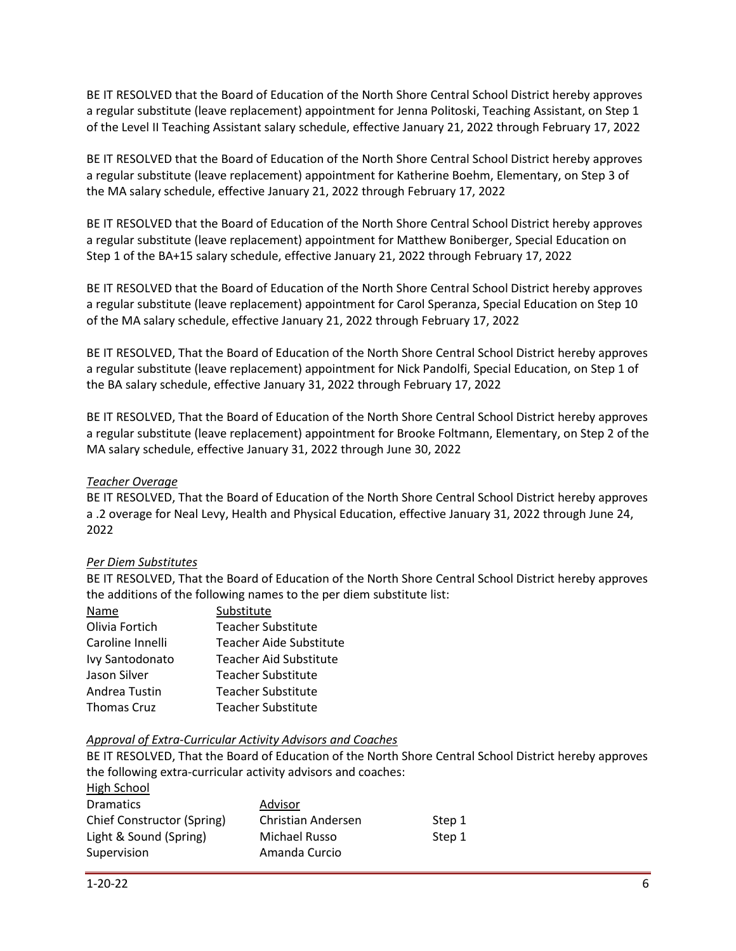BE IT RESOLVED that the Board of Education of the North Shore Central School District hereby approves a regular substitute (leave replacement) appointment for Jenna Politoski, Teaching Assistant, on Step 1 of the Level II Teaching Assistant salary schedule, effective January 21, 2022 through February 17, 2022

BE IT RESOLVED that the Board of Education of the North Shore Central School District hereby approves a regular substitute (leave replacement) appointment for Katherine Boehm, Elementary, on Step 3 of the MA salary schedule, effective January 21, 2022 through February 17, 2022

BE IT RESOLVED that the Board of Education of the North Shore Central School District hereby approves a regular substitute (leave replacement) appointment for Matthew Boniberger, Special Education on Step 1 of the BA+15 salary schedule, effective January 21, 2022 through February 17, 2022

BE IT RESOLVED that the Board of Education of the North Shore Central School District hereby approves a regular substitute (leave replacement) appointment for Carol Speranza, Special Education on Step 10 of the MA salary schedule, effective January 21, 2022 through February 17, 2022

BE IT RESOLVED, That the Board of Education of the North Shore Central School District hereby approves a regular substitute (leave replacement) appointment for Nick Pandolfi, Special Education, on Step 1 of the BA salary schedule, effective January 31, 2022 through February 17, 2022

BE IT RESOLVED, That the Board of Education of the North Shore Central School District hereby approves a regular substitute (leave replacement) appointment for Brooke Foltmann, Elementary, on Step 2 of the MA salary schedule, effective January 31, 2022 through June 30, 2022

## *Teacher Overage*

BE IT RESOLVED, That the Board of Education of the North Shore Central School District hereby approves a .2 overage for Neal Levy, Health and Physical Education, effective January 31, 2022 through June 24, 2022

### *Per Diem Substitutes*

BE IT RESOLVED, That the Board of Education of the North Shore Central School District hereby approves the additions of the following names to the per diem substitute list:

| Name               | Substitute                     |
|--------------------|--------------------------------|
| Olivia Fortich     | <b>Teacher Substitute</b>      |
| Caroline Innelli   | <b>Teacher Aide Substitute</b> |
| Ivy Santodonato    | Teacher Aid Substitute         |
| Jason Silver       | <b>Teacher Substitute</b>      |
| Andrea Tustin      | Teacher Substitute             |
| <b>Thomas Cruz</b> | <b>Teacher Substitute</b>      |

### *Approval of Extra-Curricular Activity Advisors and Coaches*

BE IT RESOLVED, That the Board of Education of the North Shore Central School District hereby approves the following extra-curricular activity advisors and coaches:

| High School                |                    |        |
|----------------------------|--------------------|--------|
| <b>Dramatics</b>           | Advisor            |        |
| Chief Constructor (Spring) | Christian Andersen | Step 1 |
| Light & Sound (Spring)     | Michael Russo      | Step 1 |
| Supervision                | Amanda Curcio      |        |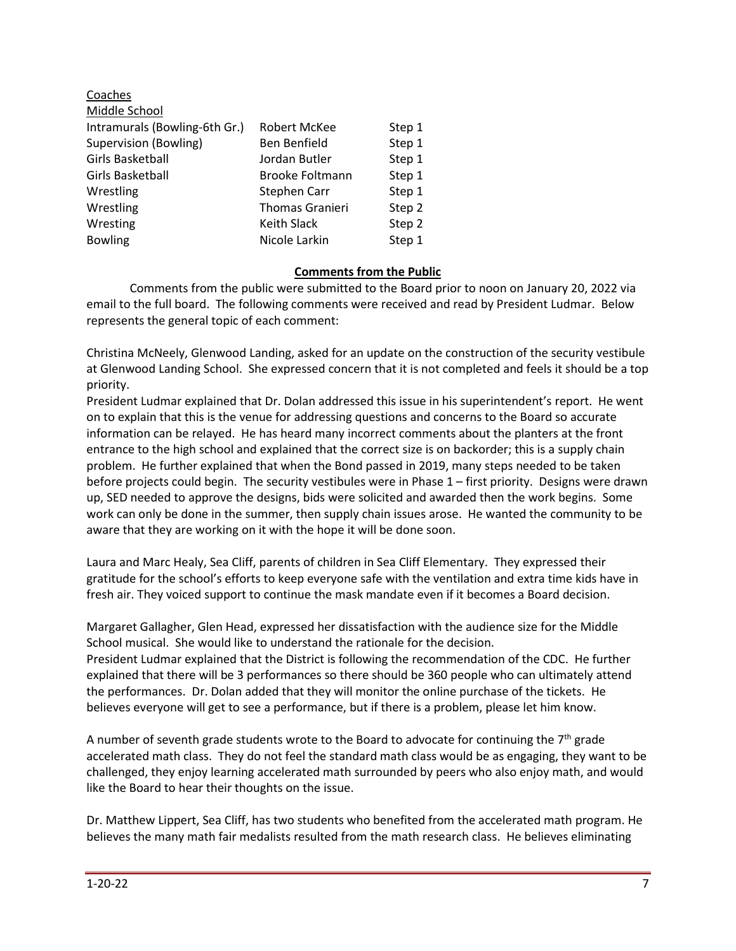| Robert McKee           | Step 1 |
|------------------------|--------|
| Ben Benfield           | Step 1 |
| Jordan Butler          | Step 1 |
| <b>Brooke Foltmann</b> | Step 1 |
| Stephen Carr           | Step 1 |
| <b>Thomas Granieri</b> | Step 2 |
| Keith Slack            | Step 2 |
| Nicole Larkin          | Step 1 |
|                        |        |

### **Comments from the Public**

Comments from the public were submitted to the Board prior to noon on January 20, 2022 via email to the full board. The following comments were received and read by President Ludmar. Below represents the general topic of each comment:

Christina McNeely, Glenwood Landing, asked for an update on the construction of the security vestibule at Glenwood Landing School. She expressed concern that it is not completed and feels it should be a top priority.

President Ludmar explained that Dr. Dolan addressed this issue in his superintendent's report. He went on to explain that this is the venue for addressing questions and concerns to the Board so accurate information can be relayed. He has heard many incorrect comments about the planters at the front entrance to the high school and explained that the correct size is on backorder; this is a supply chain problem. He further explained that when the Bond passed in 2019, many steps needed to be taken before projects could begin. The security vestibules were in Phase 1 – first priority. Designs were drawn up, SED needed to approve the designs, bids were solicited and awarded then the work begins. Some work can only be done in the summer, then supply chain issues arose. He wanted the community to be aware that they are working on it with the hope it will be done soon.

Laura and Marc Healy, Sea Cliff, parents of children in Sea Cliff Elementary. They expressed their gratitude for the school's efforts to keep everyone safe with the ventilation and extra time kids have in fresh air. They voiced support to continue the mask mandate even if it becomes a Board decision.

Margaret Gallagher, Glen Head, expressed her dissatisfaction with the audience size for the Middle School musical. She would like to understand the rationale for the decision. President Ludmar explained that the District is following the recommendation of the CDC. He further explained that there will be 3 performances so there should be 360 people who can ultimately attend the performances. Dr. Dolan added that they will monitor the online purchase of the tickets. He believes everyone will get to see a performance, but if there is a problem, please let him know.

A number of seventh grade students wrote to the Board to advocate for continuing the  $7<sup>th</sup>$  grade accelerated math class. They do not feel the standard math class would be as engaging, they want to be challenged, they enjoy learning accelerated math surrounded by peers who also enjoy math, and would like the Board to hear their thoughts on the issue.

Dr. Matthew Lippert, Sea Cliff, has two students who benefited from the accelerated math program. He believes the many math fair medalists resulted from the math research class. He believes eliminating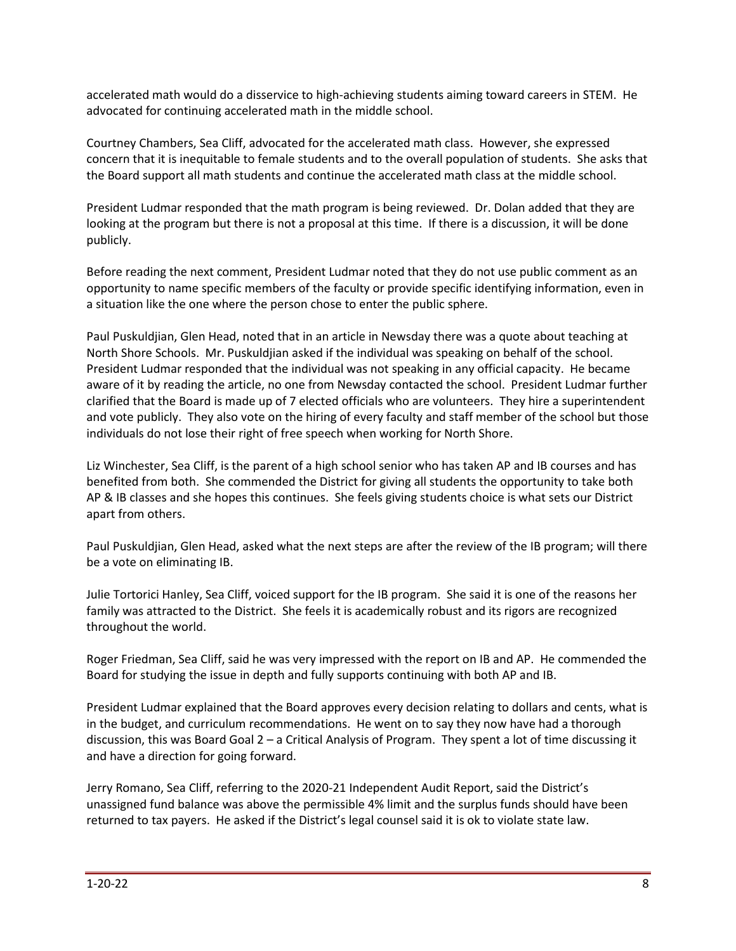accelerated math would do a disservice to high-achieving students aiming toward careers in STEM. He advocated for continuing accelerated math in the middle school.

Courtney Chambers, Sea Cliff, advocated for the accelerated math class. However, she expressed concern that it is inequitable to female students and to the overall population of students. She asks that the Board support all math students and continue the accelerated math class at the middle school.

President Ludmar responded that the math program is being reviewed. Dr. Dolan added that they are looking at the program but there is not a proposal at this time. If there is a discussion, it will be done publicly.

Before reading the next comment, President Ludmar noted that they do not use public comment as an opportunity to name specific members of the faculty or provide specific identifying information, even in a situation like the one where the person chose to enter the public sphere.

Paul Puskuldjian, Glen Head, noted that in an article in Newsday there was a quote about teaching at North Shore Schools. Mr. Puskuldjian asked if the individual was speaking on behalf of the school. President Ludmar responded that the individual was not speaking in any official capacity. He became aware of it by reading the article, no one from Newsday contacted the school. President Ludmar further clarified that the Board is made up of 7 elected officials who are volunteers. They hire a superintendent and vote publicly. They also vote on the hiring of every faculty and staff member of the school but those individuals do not lose their right of free speech when working for North Shore.

Liz Winchester, Sea Cliff, is the parent of a high school senior who has taken AP and IB courses and has benefited from both. She commended the District for giving all students the opportunity to take both AP & IB classes and she hopes this continues. She feels giving students choice is what sets our District apart from others.

Paul Puskuldjian, Glen Head, asked what the next steps are after the review of the IB program; will there be a vote on eliminating IB.

Julie Tortorici Hanley, Sea Cliff, voiced support for the IB program. She said it is one of the reasons her family was attracted to the District. She feels it is academically robust and its rigors are recognized throughout the world.

Roger Friedman, Sea Cliff, said he was very impressed with the report on IB and AP. He commended the Board for studying the issue in depth and fully supports continuing with both AP and IB.

President Ludmar explained that the Board approves every decision relating to dollars and cents, what is in the budget, and curriculum recommendations. He went on to say they now have had a thorough discussion, this was Board Goal 2 – a Critical Analysis of Program. They spent a lot of time discussing it and have a direction for going forward.

Jerry Romano, Sea Cliff, referring to the 2020-21 Independent Audit Report, said the District's unassigned fund balance was above the permissible 4% limit and the surplus funds should have been returned to tax payers. He asked if the District's legal counsel said it is ok to violate state law.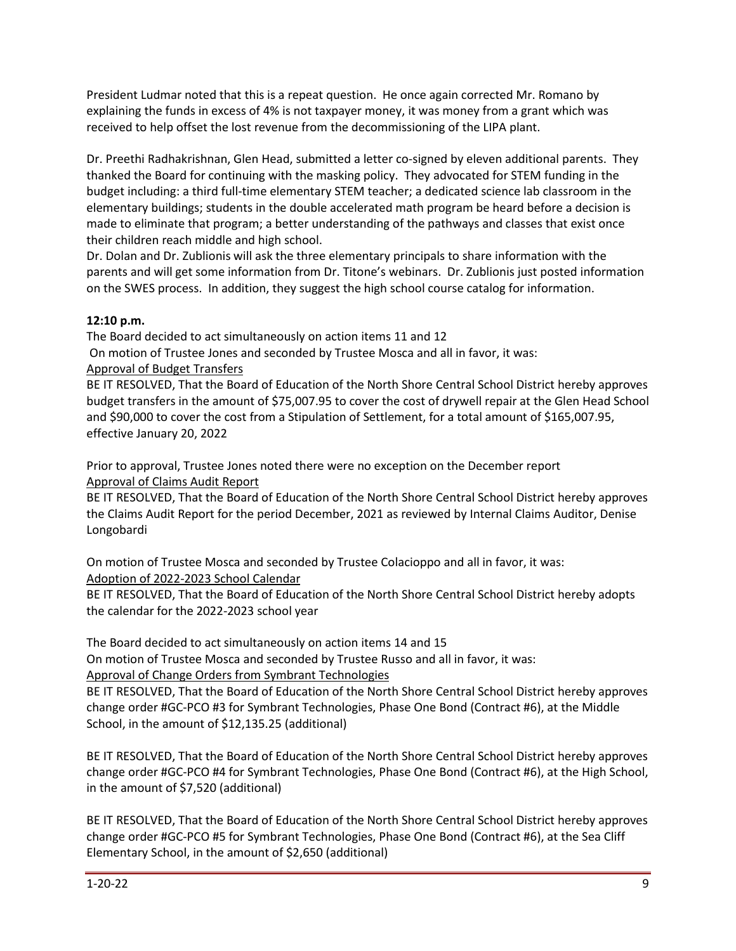President Ludmar noted that this is a repeat question. He once again corrected Mr. Romano by explaining the funds in excess of 4% is not taxpayer money, it was money from a grant which was received to help offset the lost revenue from the decommissioning of the LIPA plant.

Dr. Preethi Radhakrishnan, Glen Head, submitted a letter co-signed by eleven additional parents. They thanked the Board for continuing with the masking policy. They advocated for STEM funding in the budget including: a third full-time elementary STEM teacher; a dedicated science lab classroom in the elementary buildings; students in the double accelerated math program be heard before a decision is made to eliminate that program; a better understanding of the pathways and classes that exist once their children reach middle and high school.

Dr. Dolan and Dr. Zublionis will ask the three elementary principals to share information with the parents and will get some information from Dr. Titone's webinars. Dr. Zublionis just posted information on the SWES process. In addition, they suggest the high school course catalog for information.

# **12:10 p.m.**

The Board decided to act simultaneously on action items 11 and 12

On motion of Trustee Jones and seconded by Trustee Mosca and all in favor, it was:

# Approval of Budget Transfers

BE IT RESOLVED, That the Board of Education of the North Shore Central School District hereby approves budget transfers in the amount of \$75,007.95 to cover the cost of drywell repair at the Glen Head School and \$90,000 to cover the cost from a Stipulation of Settlement, for a total amount of \$165,007.95, effective January 20, 2022

Prior to approval, Trustee Jones noted there were no exception on the December report Approval of Claims Audit Report

BE IT RESOLVED, That the Board of Education of the North Shore Central School District hereby approves the Claims Audit Report for the period December, 2021 as reviewed by Internal Claims Auditor, Denise Longobardi

On motion of Trustee Mosca and seconded by Trustee Colacioppo and all in favor, it was: Adoption of 2022-2023 School Calendar

BE IT RESOLVED, That the Board of Education of the North Shore Central School District hereby adopts the calendar for the 2022-2023 school year

The Board decided to act simultaneously on action items 14 and 15 On motion of Trustee Mosca and seconded by Trustee Russo and all in favor, it was: Approval of Change Orders from Symbrant Technologies

BE IT RESOLVED, That the Board of Education of the North Shore Central School District hereby approves change order #GC-PCO #3 for Symbrant Technologies, Phase One Bond (Contract #6), at the Middle School, in the amount of \$12,135.25 (additional)

BE IT RESOLVED, That the Board of Education of the North Shore Central School District hereby approves change order #GC-PCO #4 for Symbrant Technologies, Phase One Bond (Contract #6), at the High School, in the amount of \$7,520 (additional)

BE IT RESOLVED, That the Board of Education of the North Shore Central School District hereby approves change order #GC-PCO #5 for Symbrant Technologies, Phase One Bond (Contract #6), at the Sea Cliff Elementary School, in the amount of \$2,650 (additional)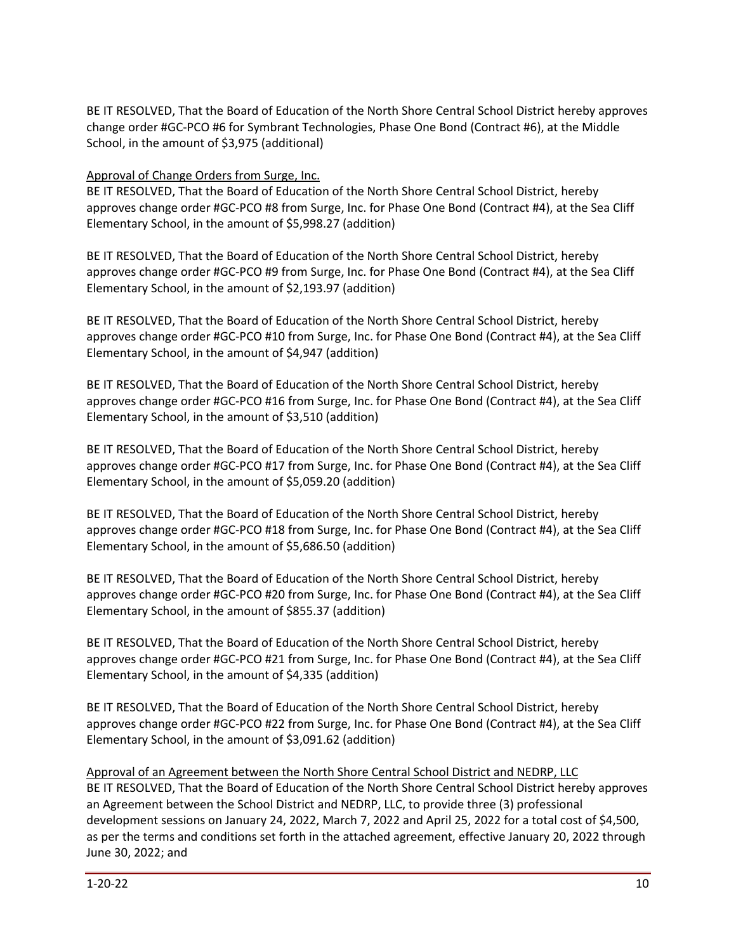BE IT RESOLVED, That the Board of Education of the North Shore Central School District hereby approves change order #GC-PCO #6 for Symbrant Technologies, Phase One Bond (Contract #6), at the Middle School, in the amount of \$3,975 (additional)

# Approval of Change Orders from Surge, Inc.

BE IT RESOLVED, That the Board of Education of the North Shore Central School District, hereby approves change order #GC-PCO #8 from Surge, Inc. for Phase One Bond (Contract #4), at the Sea Cliff Elementary School, in the amount of \$5,998.27 (addition)

BE IT RESOLVED, That the Board of Education of the North Shore Central School District, hereby approves change order #GC-PCO #9 from Surge, Inc. for Phase One Bond (Contract #4), at the Sea Cliff Elementary School, in the amount of \$2,193.97 (addition)

BE IT RESOLVED, That the Board of Education of the North Shore Central School District, hereby approves change order #GC-PCO #10 from Surge, Inc. for Phase One Bond (Contract #4), at the Sea Cliff Elementary School, in the amount of \$4,947 (addition)

BE IT RESOLVED, That the Board of Education of the North Shore Central School District, hereby approves change order #GC-PCO #16 from Surge, Inc. for Phase One Bond (Contract #4), at the Sea Cliff Elementary School, in the amount of \$3,510 (addition)

BE IT RESOLVED, That the Board of Education of the North Shore Central School District, hereby approves change order #GC-PCO #17 from Surge, Inc. for Phase One Bond (Contract #4), at the Sea Cliff Elementary School, in the amount of \$5,059.20 (addition)

BE IT RESOLVED, That the Board of Education of the North Shore Central School District, hereby approves change order #GC-PCO #18 from Surge, Inc. for Phase One Bond (Contract #4), at the Sea Cliff Elementary School, in the amount of \$5,686.50 (addition)

BE IT RESOLVED, That the Board of Education of the North Shore Central School District, hereby approves change order #GC-PCO #20 from Surge, Inc. for Phase One Bond (Contract #4), at the Sea Cliff Elementary School, in the amount of \$855.37 (addition)

BE IT RESOLVED, That the Board of Education of the North Shore Central School District, hereby approves change order #GC-PCO #21 from Surge, Inc. for Phase One Bond (Contract #4), at the Sea Cliff Elementary School, in the amount of \$4,335 (addition)

BE IT RESOLVED, That the Board of Education of the North Shore Central School District, hereby approves change order #GC-PCO #22 from Surge, Inc. for Phase One Bond (Contract #4), at the Sea Cliff Elementary School, in the amount of \$3,091.62 (addition)

Approval of an Agreement between the North Shore Central School District and NEDRP, LLC BE IT RESOLVED, That the Board of Education of the North Shore Central School District hereby approves an Agreement between the School District and NEDRP, LLC, to provide three (3) professional development sessions on January 24, 2022, March 7, 2022 and April 25, 2022 for a total cost of \$4,500, as per the terms and conditions set forth in the attached agreement, effective January 20, 2022 through June 30, 2022; and